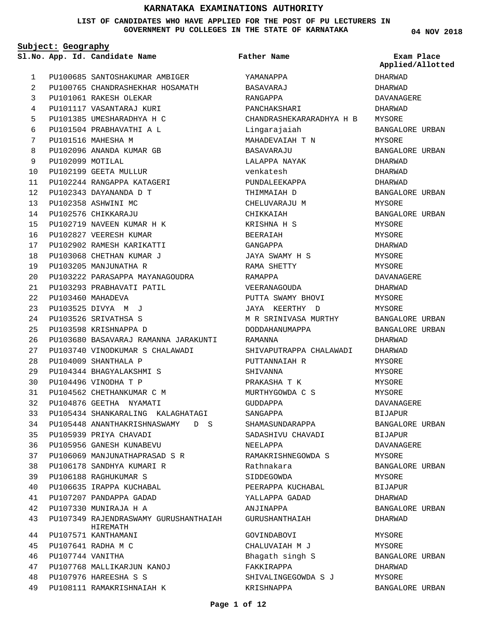### **LIST OF CANDIDATES WHO HAVE APPLIED FOR THE POST OF PU LECTURERS IN GOVERNMENT PU COLLEGES IN THE STATE OF KARNATAKA**

**04 NOV 2018**

|              | Subject: Geography |                                                   |                          |                                |
|--------------|--------------------|---------------------------------------------------|--------------------------|--------------------------------|
|              |                    | Sl.No. App. Id. Candidate Name                    | Father Name              | Exam Place<br>Applied/Allotted |
| $\mathbf{1}$ |                    | PU100685 SANTOSHAKUMAR AMBIGER                    | YAMANAPPA                | DHARWAD                        |
| 2            |                    | PU100765 CHANDRASHEKHAR HOSAMATH                  | BASAVARAJ                | DHARWAD                        |
| 3            |                    | PU101061 RAKESH OLEKAR                            | RANGAPPA                 | DAVANAGERE                     |
| 4            |                    | PU101117 VASANTARAJ KURI                          | PANCHAKSHARI             | DHARWAD                        |
| 5            |                    | PU101385 UMESHARADHYA H C                         | CHANDRASHEKARARADHYA H B | MYSORE                         |
| 6            |                    | PU101504 PRABHAVATHI A L                          | Lingarajaiah             | BANGALORE URBAN                |
| 7            |                    | PU101516 MAHESHA M                                | MAHADEVAIAH T N          | MYSORE                         |
| 8            |                    | PU102096 ANANDA KUMAR GB                          | BASAVARAJU               | BANGALORE URBAN                |
| 9            | PU102099 MOTILAL   |                                                   | LALAPPA NAYAK            | DHARWAD                        |
| 10           |                    | PU102199 GEETA MULLUR                             | venkatesh                | DHARWAD                        |
| 11           |                    | PU102244 RANGAPPA KATAGERI                        | PUNDALEEKAPPA            | DHARWAD                        |
| 12           |                    | PU102343 DAYANANDA D T                            | THIMMAIAH D              | BANGALORE URBAN                |
| 13           |                    | PU102358 ASHWINI MC                               | CHELUVARAJU M            | MYSORE                         |
| 14           |                    | PU102576 CHIKKARAJU                               | CHIKKAIAH                | BANGALORE URBAN                |
| 15           |                    | PU102719 NAVEEN KUMAR H K                         | KRISHNA H S              | MYSORE                         |
| 16           |                    | PU102827 VEERESH KUMAR                            | BEERAIAH                 | MYSORE                         |
| 17           |                    | PU102902 RAMESH KARIKATTI                         | GANGAPPA                 | DHARWAD                        |
| 18           |                    | PU103068 CHETHAN KUMAR J                          | JAYA SWAMY H S           | MYSORE                         |
| 19           |                    | PU103205 MANJUNATHA R                             | RAMA SHETTY              | MYSORE                         |
| 20           |                    | PU103222 PARASAPPA MAYANAGOUDRA                   | RAMAPPA                  | DAVANAGERE                     |
| 21           |                    | PU103293 PRABHAVATI PATIL                         | VEERANAGOUDA             | DHARWAD                        |
| 22           |                    | PU103460 MAHADEVA                                 | PUTTA SWAMY BHOVI        | MYSORE                         |
| 23           |                    | PU103525 DIVYA M J                                | JAYA KEERTHY D           | MYSORE                         |
| 24           |                    | PU103526 SRIVATHSA S                              | M R SRINIVASA MURTHY     | BANGALORE URBAN                |
| 25           |                    | PU103598 KRISHNAPPA D                             | DODDAHANUMAPPA           | BANGALORE URBAN                |
| 26           |                    | PU103680 BASAVARAJ RAMANNA JARAKUNTI              | RAMANNA                  | DHARWAD                        |
| 27           |                    | PU103740 VINODKUMAR S CHALAWADI                   | SHIVAPUTRAPPA CHALAWADI  | DHARWAD                        |
| 28           |                    | PU104009 SHANTHALA P                              | PUTTANNAIAH R            | MYSORE                         |
| 29           |                    | PU104344 BHAGYALAKSHMI S                          | SHIVANNA                 | MYSORE                         |
| 30           |                    | PU104496 VINODHA T P                              | PRAKASHA T K             | MYSORE                         |
| 31           |                    | PU104562 CHETHANKUMAR C M                         | MURTHYGOWDA C S          | MYSORE                         |
| 32           |                    | PU104876 GEETHA NYAMATI                           |                          |                                |
| 33           |                    | PU105434 SHANKARALING KALAGHATAGI                 | GUDDAPPA                 | DAVANAGERE                     |
|              |                    |                                                   | SANGAPPA                 | BIJAPUR                        |
| 34           |                    | PU105448 ANANTHAKRISHNASWAMY D S                  | SHAMASUNDARAPPA          | BANGALORE URBAN                |
| 35           |                    | PU105939 PRIYA CHAVADI                            | SADASHIVU CHAVADI        | BIJAPUR                        |
| 36<br>37     |                    | PU105956 GANESH KUNABEVU                          | NEELAPPA                 | DAVANAGERE                     |
|              |                    | PU106069 MANJUNATHAPRASAD S R                     | RAMAKRISHNEGOWDA S       | MYSORE                         |
| 38           |                    | PU106178 SANDHYA KUMARI R                         | Rathnakara               | BANGALORE URBAN                |
| 39           |                    | PU106188 RAGHUKUMAR S                             | SIDDEGOWDA               | MYSORE                         |
| 40           |                    | PU106635 IRAPPA KUCHABAL                          | PEERAPPA KUCHABAL        | BIJAPUR                        |
| 41           |                    | PU107207 PANDAPPA GADAD                           | YALLAPPA GADAD           | DHARWAD                        |
| 42           |                    | PU107330 MUNIRAJA H A                             | ANJINAPPA                | BANGALORE URBAN                |
| 43           |                    | PU107349 RAJENDRASWAMY GURUSHANTHAIAH<br>HIREMATH | GURUSHANTHAIAH           | DHARWAD                        |
| 44           |                    | PU107571 KANTHAMANI                               | GOVINDABOVI              | MYSORE                         |
| 45           |                    | PU107641 RADHA M C                                | CHALUVAIAH M J           | MYSORE                         |
| 46           | PU107744 VANITHA   |                                                   | Bhagath singh S          | BANGALORE URBAN                |
| 47           |                    | PU107768 MALLIKARJUN KANOJ                        | FAKKIRAPPA               | DHARWAD                        |
| 48           |                    | PU107976 HAREESHA S S                             | SHIVALINGEGOWDA S J      | MYSORE                         |
| 49           |                    | PU108111 RAMAKRISHNAIAH K                         | KRISHNAPPA               | BANGALORE URBAN                |

### **Page 1 of 12**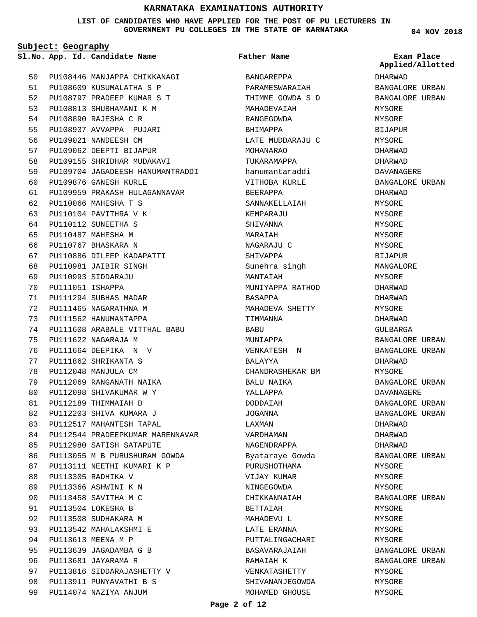**LIST OF CANDIDATES WHO HAVE APPLIED FOR THE POST OF PU LECTURERS IN GOVERNMENT PU COLLEGES IN THE STATE OF KARNATAKA**

**Subject: Geography**

**App. Id. Candidate Name Sl.No. Exam Place**

```
Father Name
```
PU108446 MANJAPPA CHIKKANAGI PU108609 KUSUMALATHA S P 51 PU108797 PRADEEP KUMAR S T 52 PU108813 SHUBHAMANI K M PU108890 RAJESHA C R PU108937 AVVAPPA PUJARI PU109021 NANDEESH CM PU109062 DEEPTI BIJAPUR PU109155 SHRIDHAR MUDAKAVI PU109704 JAGADEESH HANUMANTRADDI PU109876 GANESH KURLE PU109959 PRAKASH HULAGANNAVAR PU110066 MAHESHA T S PU110104 PAVITHRA V K PU110112 SUNEETHA S PU110487 MAHESHA M PU110767 BHASKARA N PU110886 DILEEP KADAPATTI PU110981 JAIBIR SINGH PU110993 SIDDARAJU PU111051 ISHAPPA PU111294 SUBHAS MADAR PU111465 NAGARATHNA M PU111562 HANUMANTAPPA PU111608 ARABALE VITTHAL BABU PU111622 NAGARAJA M PU111664 DEEPIKA N V PU111862 SHRIKANTA S PU112048 MANJULA CM PU112069 RANGANATH NAIKA PU112098 SHIVAKUMAR W Y PU112189 THIMMAIAH D PU112203 SHIVA KUMARA J PU112517 MAHANTESH TAPAL PU112544 PRADEEPKUMAR MARENNAVAR PU112980 SATISH SATAPUTE PU113055 M B PURUSHURAM GOWDA PU113111 NEETHI KUMARI K P PU113305 RADHIKA V PU113366 ASHWINI K N PU113458 SAVITHA M C PU113504 LOKESHA B PU113508 SUDHAKARA M PU113542 MAHALAKSHMI E PU113613 MEENA M P PU113639 JAGADAMBA G B PU113681 JAYARAMA R PU113816 SIDDARAJASHETTY V PU113911 PUNYAVATHI B S PU114074 NAZIYA ANJUM 50 53 54 55 56 57 58 59  $60$ 61 62 63 64 65 66 67 68  $69$ 70 71 72 73 74 75 76 77 78 79  $80$ 81 82 83 84 85 86 87 88 89 90 91 92 93 94 95 96 97 98 99

BANGAREPPA PARAMESWARAIAH THIMME GOWDA S D MAHADEVAIAH RANGEGOWDA BHIMAPPA LATE MUDDARAJU C MOHANARAO TUKARAMAPPA hanumantaraddi VITHOBA KURLE BEERAPPA SANNAKELLAIAH KEMPARAJU SHIVANNA MARAIAH NAGARAJU C SHIVAPPA Sunehra singh MANTAIAH MUNIYAPPA RATHOD BASAPPA MAHADEVA SHETTY TIMMANNA BABU MUNIAPPA VENKATESH N BALAYYA CHANDRASHEKAR BM BALU NAIKA YALLAPPA DODDAIAH JOGANNA LAXMAN VARDHAMAN NAGENDRAPPA Byataraye Gowda PURUSHOTHAMA VIJAY KUMAR NINGEGOWDA CHIKKANNAIAH BETTAIAH MAHADEVU L LATE ERANNA PUTTALINGACHARI BASAVARAJAIAH RAMAIAH K VENKATASHETTY SHIVANANJEGOWDA MOHAMED GHOUSE

**04 NOV 2018**

DHARWAD BANGALORE URBAN BANGALORE URBAN MYSORE MYSORE BIJAPUR MYSORE DHARWAD DHARWAD DAVANAGERE BANGALORE URBAN DHARWAD MYSORE MYSORE MYSORE MYSORE MYSORE **BIJAPUR** MANGALORE MYSORE DHARWAD DHARWAD MYSORE DHARWAD GULBARGA BANGALORE URBAN BANGALORE URBAN DHARWAD MYSORE BANGALORE URBAN DAVANAGERE BANGALORE URBAN BANGALORE URBAN DHARWAD DHARWAD DHARWAD BANGALORE URBAN MYSORE MYSORE MYSORE BANGALORE URBAN MYSORE MYSORE **MYSORE MYSORE** BANGALORE URBAN BANGALORE URBAN MYSORE MYSORE MYSORE **Applied/Allotted**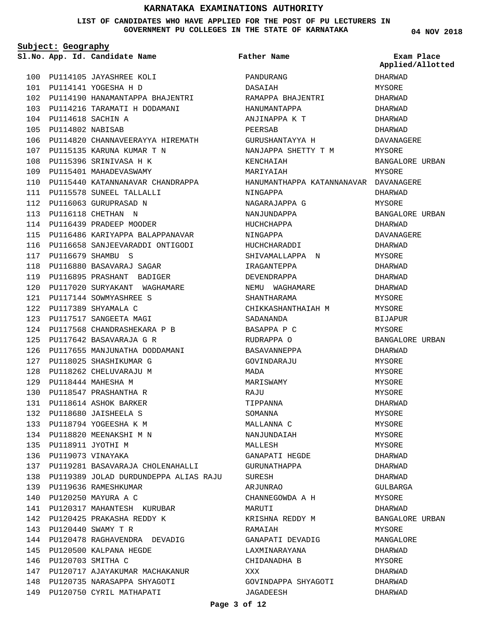#### **LIST OF CANDIDATES WHO HAVE APPLIED FOR THE POST OF PU LECTURERS IN GOVERNMENT PU COLLEGES IN THE STATE OF KARNATAKA**

**Subject: Geography**

**App. Id. Candidate Name Sl.No. Exam Place**

PU114105 JAYASHREE KOLI 100

PU114141 YOGESHA H D 101 102 PU114190 HANAMANTAPPA BHAJENTRI PU114216 TARAMATI H DODAMANI 103 PU114618 SACHIN A 104 PU114802 NABISAB 105 106 PU114820 CHANNAVEERAYYA HIREMATH PU115135 KARUNA KUMAR T N 107 108 PU115396 SRINIVASA H K 109 PU115401 MAHADEVASWAMY PU115440 PU115578 112 PU116063 GURUPRASAD N 113 PU116118 CHETHAN N PU116439 PRADEEP MOODER 114 115 PU116486 KARIYAPPA BALAPPANAVAR 116 PU116658 SANJEEVARADDI ONTIGODI PU116679 SHAMBU S 117 PU116880 BASAVARAJ SAGAR 118 PU116895 PRASHANT BADIGER 119 PU117020 PU117144 PU117389 SHYAMALA C 122 123 PU117517 SANGEETA MAGI PU117568 CHANDRASHEKARA P B 124 PU117642 BASAVARAJA G R 125 126 PU117655 MANJUNATHA DODDAMANI PU118025 SHASHIKUMAR G 127 128 PU118262 CHELUVARAJU M PU118444 MAHESHA M 129 130 PU118547 PRASHANTHA R PU118614 ASHOK BARKER 131 PU118680 JAISHEELA S 132 PU118794 YOGEESHA K M 133 PU118820 MEENAKSHI M N 134 PU118911 JYOTHI M 135 136 PU119073 VINAYAKA 137 PU119281 BASAVARAJA CHOLENAHALLI PU119389 JOLAD DURDUNDEPPA ALIAS RAJU 138 PU119636 RAMESHKUMAR 139 PU120250 MAYURA A C 140 PU120317 MAHANTESH KURUBAR 141 PU120425 PRAKASHA REDDY K 142 PU120440 SWAMY T R 143 144 PU120478 RAGHAVENDRA DEVADIG PU120500 KALPANA HEGDE 145 146 PU120703 SMITHA C 147 PU120717 AJAYAKUMAR MACHAKANUR PU120735 NARASAPPA SHYAGOTI 148 149 PU120750 CYRIL MATHAPATI KATANNANAVAR CHANDRAPPA SUNEEL TALLALLI SURYAKANT WAGHAMARE SOWMYASHREE S 110 111 120 121

PANDURANG DASAIAH RAMAPPA BHAJENTRI HANUMANTAPPA ANJINAPPA K T PEERSAB GURUSHANTAYYA H NANJAPPA SHETTY T M KENCHAIAH MARIYAIAH HANUMANTHAPPA KATANNANAVAR DAVANAGERE NINGAPPA NAGARAJAPPA G NANJUNDAPPA HUCHCHAPPA NINGAPPA HUCHCHARADDI SHIVAMALLAPPA N IRAGANTEPPA DEVENDRAPPA NEMU WAGHAMARE SHANTHARAMA CHIKKASHANTHAIAH M SADANANDA BASAPPA P C RUDRAPPA O BASAVANNEPPA GOVINDARAJU MADA MARISWAMY RAJU TIPPANNA SOMANNA MALLANNA C NANJUNDAIAH MALLFSH GANAPATI HEGDE GURUNATHAPPA SURESH ARJUNRAO CHANNEGOWDA A H MARUTI KRISHNA REDDY M RAMAIAH GANAPATI DEVADIG LAXMINARAYANA CHIDANADHA B XXX GOVINDAPPA SHYAGOTI **Father Name** DHARWAD **Applied/Allotted**

**04 NOV 2018**

MYSORE DHARWAD DHARWAD DHARWAD DHARWAD DAVANAGERE MYSORE BANGALORE URBAN MYSORE DHARWAD MYSORE BANGALORE URBAN DHARWAD DAVANAGERE DHARWAD **MYSORE** DHARWAD DHARWAD DHARWAD MYSORE MYSORE BIJAPUR MYSORE BANGALORE URBAN DHARWAD MYSORE MYSORE MYSORE MYSORE DHARWAD MYSORE MYSORE MYSORE **MYSORE** DHARWAD DHARWAD DHARWAD GULBARGA MYSORE DHARWAD BANGALORE URBAN MYSORE MANGALORE DHARWAD MYSORE DHARWAD DHARWAD DHARWAD

### **Page 3 of 12**

JAGADEESH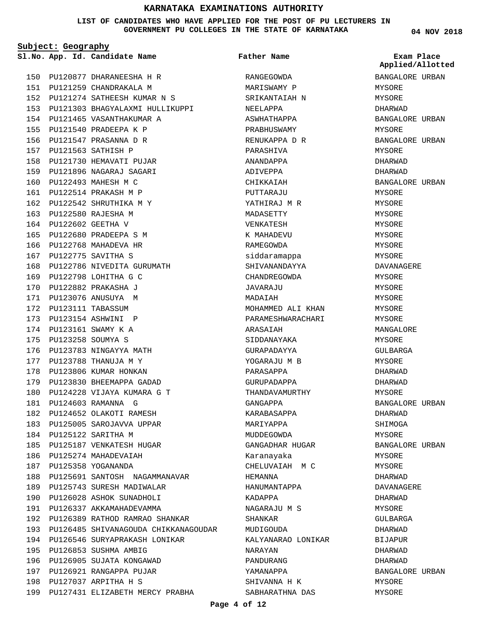### **LIST OF CANDIDATES WHO HAVE APPLIED FOR THE POST OF PU LECTURERS IN GOVERNMENT PU COLLEGES IN THE STATE OF KARNATAKA**

**Subject: Geography**

|     |                   | Sl.No. App. Id. Candidate Name       | Father Name        | Exam Place<br>Applied/Allotted |
|-----|-------------------|--------------------------------------|--------------------|--------------------------------|
|     |                   | 150 PU120877 DHARANEESHA H R         | RANGEGOWDA         | BANGALORE URBAN                |
| 151 |                   | PU121259 CHANDRAKALA M               | MARISWAMY P        | MYSORE                         |
| 152 |                   | PU121274 SATHEESH KUMAR N S          | SRIKANTAIAH N      | MYSORE                         |
|     |                   | 153 PU121303 BHAGYALAXMI HULLIKUPPI  | NEELAPPA           | DHARWAD                        |
| 154 |                   | PU121465 VASANTHAKUMAR A             | ASWHATHAPPA        | BANGALORE URBAN                |
| 155 |                   | PU121540 PRADEEPA K P                | PRABHUSWAMY        | MYSORE                         |
| 156 |                   | PU121547 PRASANNA D R                | RENUKAPPA D R      | BANGALORE URBAN                |
| 157 |                   | PU121563 SATHISH P                   | PARASHIVA          | MYSORE                         |
| 158 |                   | PU121730 HEMAVATI PUJAR              | ANANDAPPA          | DHARWAD                        |
| 159 |                   | PU121896 NAGARAJ SAGARI              | ADIVEPPA           | DHARWAD                        |
| 160 |                   | PU122493 MAHESH M C                  | CHIKKAIAH          | BANGALORE URBAN                |
| 161 |                   | PU122514 PRAKASH M P                 | PUTTARAJU          | MYSORE                         |
| 162 |                   | PU122542 SHRUTHIKA M Y               | YATHIRAJ M R       | MYSORE                         |
| 163 |                   | PU122580 RAJESHA M                   | MADASETTY          | MYSORE                         |
| 164 |                   | PU122602 GEETHA V                    | VENKATESH          | MYSORE                         |
| 165 |                   | PU122680 PRADEEPA S M                | K MAHADEVU         | MYSORE                         |
| 166 |                   | PU122768 MAHADEVA HR                 | RAMEGOWDA          | MYSORE                         |
| 167 |                   | PU122775 SAVITHA S                   | siddaramappa       | MYSORE                         |
| 168 |                   | PU122786 NIVEDITA GURUMATH           | SHIVANANDAYYA      | DAVANAGERE                     |
|     |                   | 169 PU122798 LOHITHA G C             | CHANDREGOWDA       | MYSORE                         |
| 170 |                   | PU122882 PRAKASHA J                  | JAVARAJU           | MYSORE                         |
| 171 |                   | PU123076 ANUSUYA M                   | MADAIAH            | MYSORE                         |
| 172 |                   | PU123111 TABASSUM                    | MOHAMMED ALI KHAN  | MYSORE                         |
| 173 |                   | PU123154 ASHWINI P                   | PARAMESHWARACHARI  | MYSORE                         |
| 174 |                   | PU123161 SWAMY K A                   | ARASAIAH           | MANGALORE                      |
| 175 | PU123258 SOUMYA S |                                      | SIDDANAYAKA        | MYSORE                         |
| 176 |                   | PU123783 NINGAYYA MATH               | GURAPADAYYA        | GULBARGA                       |
|     |                   | 177 PU123788 THANUJA M Y             | YOGARAJU M B       | MYSORE                         |
| 178 |                   | PU123806 KUMAR HONKAN                | PARASAPPA          | DHARWAD                        |
| 179 |                   | PU123830 BHEEMAPPA GADAD             | GURUPADAPPA        | DHARWAD                        |
| 180 |                   | PU124228 VIJAYA KUMARA G T           | THANDAVAMURTHY     | MYSORE                         |
|     |                   | 181 PU124603 RAMANNA G               | GANGAPPA           | BANGALORE URBAN                |
|     |                   | 182 PU124652 OLAKOTI RAMESH          | KARABASAPPA        | DHARWAD                        |
|     |                   | 183 PU125005 SAROJAVVA UPPAR         | MARIYAPPA          | SHIMOGA                        |
|     |                   | 184 PU125122 SARITHA M               | MUDDEGOWDA         | MYSORE                         |
|     |                   | 185 PU125187 VENKATESH HUGAR         | GANGADHAR HUGAR    | BANGALORE URBAN                |
|     |                   | 186 PU125274 MAHADEVAIAH             | Karanayaka         | MYSORE                         |
|     |                   | 187 PU125358 YOGANANDA               | CHELUVAIAH M C     | MYSORE                         |
|     |                   | 188 PU125691 SANTOSH NAGAMMANAVAR    | HEMANNA            | DHARWAD                        |
|     |                   | 189 PU125743 SURESH MADIWALAR        | HANUMANTAPPA       | DAVANAGERE                     |
|     |                   | 190 PU126028 ASHOK SUNADHOLI         | KADAPPA            | DHARWAD                        |
| 191 |                   | PU126337 AKKAMAHADEVAMMA             | NAGARAJU M S       | MYSORE                         |
| 192 |                   | PU126389 RATHOD RAMRAO SHANKAR       | SHANKAR            | GULBARGA                       |
| 193 |                   | PU126485 SHIVANAGOUDA CHIKKANAGOUDAR | MUDIGOUDA          | DHARWAD                        |
|     |                   | 194 PU126546 SURYAPRAKASH LONIKAR    | KALYANARAO LONIKAR | BIJAPUR                        |
|     |                   | 195 PU126853 SUSHMA AMBIG            | NARAYAN            | DHARWAD                        |
|     |                   | 196 PU126905 SUJATA KONGAWAD         | PANDURANG          | DHARWAD                        |
|     |                   | 197 PU126921 RANGAPPA PUJAR          | YAMANAPPA          | BANGALORE URBAN                |
|     |                   | 198 PU127037 ARPITHA H S             | SHIVANNA H K       | MYSORE                         |
|     |                   | 199 PU127431 ELIZABETH MERCY PRABHA  | SABHARATHNA DAS    | MYSORE                         |
|     |                   |                                      |                    |                                |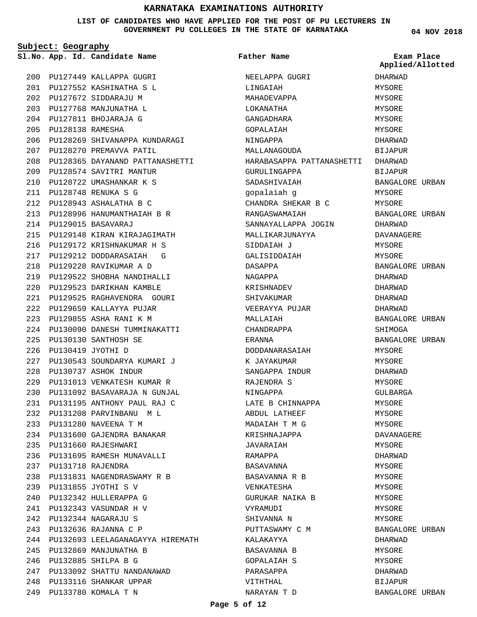#### **LIST OF CANDIDATES WHO HAVE APPLIED FOR THE POST OF PU LECTURERS IN GOVERNMENT PU COLLEGES IN THE STATE OF KARNATAKA**

**Subject: Geography**

**Father Name**

**04 NOV 2018**

|     |                  | Sl.No. App. Id. Candidate Name   | <b>Father Name</b>        | Exam Place<br>Applied/Allotted |
|-----|------------------|----------------------------------|---------------------------|--------------------------------|
|     |                  | 200 PU127449 KALLAPPA GUGRI      | NEELAPPA GUGRI            | DHARWAD                        |
| 201 |                  | PU127552 KASHINATHA S L          | LINGAIAH                  | MYSORE                         |
| 202 |                  | PU127672 SIDDARAJU M             | MAHADEVAPPA               | MYSORE                         |
| 203 |                  | PU127768 MANJUNATHA L            | LOKANATHA                 | MYSORE                         |
| 204 |                  | PU127811 BHOJARAJA G             | GANGADHARA                | MYSORE                         |
| 205 | PU128138 RAMESHA |                                  | GOPALAIAH                 | MYSORE                         |
| 206 |                  | PU128269 SHIVANAPPA KUNDARAGI    | NINGAPPA                  | DHARWAD                        |
| 207 |                  | PU128270 PREMAVVA PATIL          | MALLANAGOUDA              | BIJAPUR                        |
| 208 |                  | PU128365 DAYANAND PATTANASHETTI  | HARABASAPPA PATTANASHETTI | DHARWAD                        |
| 209 |                  | PU128574 SAVITRI MANTUR          | GURULINGAPPA              | <b>BIJAPUR</b>                 |
| 210 |                  | PU128722 UMASHANKAR K S          | SADASHIVAIAH              | BANGALORE URBAN                |
| 211 |                  | PU128748 RENUKA S G              | gopalaiah g               | MYSORE                         |
| 212 |                  | PU128943 ASHALATHA B C           | CHANDRA SHEKAR B C        | MYSORE                         |
| 213 |                  | PU128996 HANUMANTHAIAH B R       | RANGASWAMAIAH             | BANGALORE URBAN                |
| 214 |                  | PU129015 BASAVARAJ               | SANNAYALLAPPA JOGIN       | DHARWAD                        |
| 215 |                  | PU129148 KIRAN KIRAJAGIMATH      | MALLIKARJUNAYYA           | <b>DAVANAGERE</b>              |
| 216 |                  | PU129172 KRISHNAKUMAR H S        | SIDDAIAH J                | MYSORE                         |
| 217 |                  | PU129212 DODDARASAIAH<br>G       | GALISIDDAIAH              | MYSORE                         |
| 218 |                  | PU129228 RAVIKUMAR A D           | DASAPPA                   | BANGALORE URBAN                |
| 219 |                  | PU129522 SHOBHA NANDIHALLI       | NAGAPPA                   | DHARWAD                        |
| 220 |                  | PU129523 DARIKHAN KAMBLE         | KRISHNADEV                | DHARWAD                        |
| 221 |                  | PU129525 RAGHAVENDRA GOURI       | SHIVAKUMAR                | DHARWAD                        |
| 222 |                  | PU129659 KALLAYYA PUJAR          | VEERAYYA PUJAR            | DHARWAD                        |
| 223 |                  | PU129855 ASHA RANI K M           | MALLAIAH                  | BANGALORE URBAN                |
| 224 |                  | PU130090 DANESH TUMMINAKATTI     | CHANDRAPPA                | SHIMOGA                        |
| 225 |                  | PU130130 SANTHOSH SE             | ERANNA                    | BANGALORE URBAN                |
| 226 |                  | PU130419 JYOTHI D                | DODDANARASAIAH            | MYSORE                         |
| 227 |                  | PU130543 SOUNDARYA KUMARI J      | K JAYAKUMAR               | MYSORE                         |
| 228 |                  | PU130737 ASHOK INDUR             | SANGAPPA INDUR            |                                |
| 229 |                  | PU131013 VENKATESH KUMAR R       |                           | DHARWAD                        |
| 230 |                  | PU131092 BASAVARAJA N GUNJAL     | RAJENDRA S<br>NINGAPPA    | MYSORE<br>GULBARGA             |
|     |                  | 231 PU131195 ANTHONY PAUL RAJ C  |                           |                                |
|     |                  |                                  | LATE B CHINNAPPA          | MYSORE                         |
| 232 |                  | PU131208 PARVINBANU ML           | ABDUL LATHEEF             | MYSORE                         |
| 233 |                  | PU131280 NAVEENA T M             | MADAIAH T M G             | MYSORE                         |
| 234 |                  | PU131600 GAJENDRA BANAKAR        | KRISHNAJAPPA              | <b>DAVANAGERE</b>              |
| 235 |                  | PU131660 RAJESHWARI              | JAVARAIAH                 | MYSORE                         |
| 236 |                  | PU131695 RAMESH MUNAVALLI        | RAMAPPA                   | DHARWAD                        |
| 237 |                  | PU131718 RAJENDRA                | BASAVANNA                 | MYSORE                         |
| 238 |                  | PU131831 NAGENDRASWAMY R B       | BASAVANNA R B             | MYSORE                         |
|     |                  | 239 PU131855 JYOTHI S V          | VENKATESHA                | MYSORE                         |
| 240 |                  | PU132342 HULLERAPPA G            | GURUKAR NAIKA B           | MYSORE                         |
| 241 |                  | PU132343 VASUNDAR H V            | VYRAMUDI                  | MYSORE                         |
| 242 |                  | PU132344 NAGARAJU S              | SHIVANNA N                | MYSORE                         |
| 243 |                  | PU132636 RAJANNA C P             | PUTTASWAMY C M            | BANGALORE URBAN                |
| 244 |                  | PU132693 LEELAGANAGAYYA HIREMATH | KALAKAYYA                 | DHARWAD                        |
| 245 |                  | PU132869 MANJUNATHA B            | BASAVANNA B               | MYSORE                         |
| 246 |                  | PU132885 SHILPA B G              | GOPALAIAH S               | MYSORE                         |
| 247 |                  | PU133092 SHATTU NANDANAWAD       | PARASAPPA                 | DHARWAD                        |
| 248 |                  | PU133116 SHANKAR UPPAR           | VITHTHAL                  | BIJAPUR                        |

PU133780 KOMALA T N 249

NARAYAN T D

BANGALORE URBAN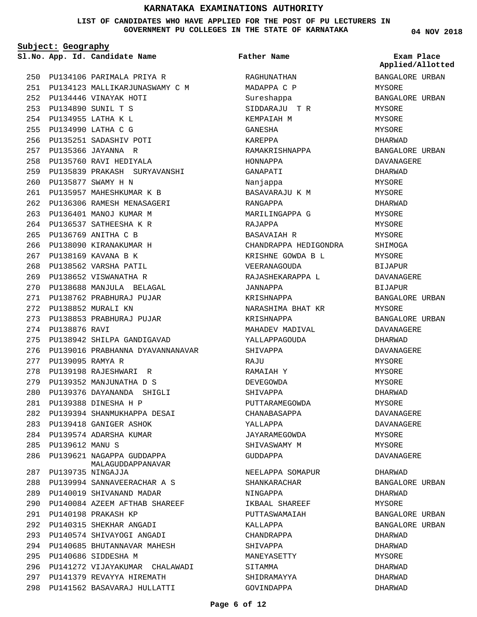#### **LIST OF CANDIDATES WHO HAVE APPLIED FOR THE POST OF PU LECTURERS IN GOVERNMENT PU COLLEGES IN THE STATE OF KARNATAKA**

**Subject: Geography**

**App. Id. Candidate Name Sl.No. Exam Place**

**Father Name**

RAGHUNATHAN MADAPPA C P

PU134106 PARIMALA PRIYA R 250 PU134123 MALLIKARJUNASWAMY C M 251 PU134446 VINAYAK HOTI 252 PU134890 SUNIL T S 253 PU134955 LATHA K L 254 PU134990 LATHA C G 255 256 PU135251 SADASHIV POTI PU135366 JAYANNA R 257 PU135760 RAVI HEDIYALA 258 PU135839 PRAKASH SURYAVANSHI 259 PU135877 SWAMY H N 260 PU135957 MAHESHKUMAR K B 261 PU136306 RAMESH MENASAGERI 262 263 PU136401 MANOJ KUMAR M PU136537 SATHEESHA K R 264 PU136769 ANITHA C B 265 266 PU138090 KIRANAKUMAR H PU138169 KAVANA B K 267 268 PU138562 VARSHA PATIL 269 PU138652 VISWANATHA R PU138688 MANJULA BELAGAL 270 PU138762 PRABHURAJ PUJAR 271 PU138852 MURALI KN 272 PU138853 PRABHURAJ PUJAR 273 274 PU138876 RAVI PU138942 SHILPA GANDIGAVAD 275 276 PU139016 PRABHANNA DYAVANNANAVAR PU139095 RAMYA R 277 PU139198 RAJESHWARI R 278 PU139352 MANJUNATHA D S 279 PU139376 DAYANANDA SHIGLI 280 PU139388 DINESHA H P 281 PU139394 SHANMUKHAPPA DESAI 282 283 PU139418 GANIGER ASHOK 284 PU139574 ADARSHA KUMAR PU139612 MANU S 285 286 PU139621 NAGAPPA GUDDAPPA PU139735 NINGAJJA 287 PU139994 SANNAVEERACHAR A S 288 PU140019 SHIVANAND MADAR 289 PU140084 AZEEM AFTHAB SHAREEF 290 PU140198 PRAKASH KP 291 PU140315 SHEKHAR ANGADI 292 PU140574 SHIVAYOGI ANGADI 293 PU140685 BHUTANNAVAR MAHESH 294 PU140686 SIDDESHA M 295 296 PU141272 VIJAYAKUMAR CHALAWADI PU141379 REVAYYA HIREMATH 297 PU141562 BASAVARAJ HULLATTI 298 MALAGUDDAPPANAVAR

Sureshappa SIDDARAJU T R KEMPAIAH M GANESHA KAREPPA RAMAKRISHNAPPA HONNAPPA GANAPATI Nanjappa BASAVARAJU K M RANGAPPA MARILINGAPPA G RAJAPPA BASAVAIAH R CHANDRAPPA HEDIGONDRA KRISHNE GOWDA B L VEERANAGOUDA RAJASHEKARAPPA L JANNAPPA KRISHNAPPA NARASHIMA BHAT KR KRISHNAPPA MAHADEV MADIVAL YALLAPPAGOUDA SHIVADDA RAJII RAMAIAH Y DEVEGOWDA SHIVAPPA PUTTARAMEGOWDA CHANABASAPPA YALLAPPA JAYARAMEGOWDA SHIVASWAMY M GUDDAPPA NEELAPPA SOMAPUR SHANKARACHAR NINGAPPA IKBAAL SHAREEF PUTTASWAMAIAH KALLAPPA CHANDRAPPA SHIVAPPA MANEYASETTY SITAMMA SHIDRAMAYYA GOVINDAPPA

**04 NOV 2018**

BANGALORE URBAN MYSORE BANGALORE URBAN MYSORE MYSORE MYSORE DHARWAD BANGALORE URBAN DAVANAGERE DHARWAD MYSORE. MYSORE DHARWAD MYSORE MYSORE MYSORE SHIMOGA **MYSORE** BIJAPUR DAVANAGERE BIJAPUR BANGALORE URBAN MYSORE BANGALORE URBAN DAVANAGERE DHARWAD DAVANAGERE MYSORE MYSORE MYSORE DHARWAD MYSORE DAVANAGERE DAVANAGERE MYSORE MYSORE DAVANAGERE DHARWAD BANGALORE URBAN DHARWAD MYSORE BANGALORE URBAN BANGALORE URBAN DHARWAD DHARWAD MYSORE DHARWAD DHARWAD DHARWAD **Applied/Allotted**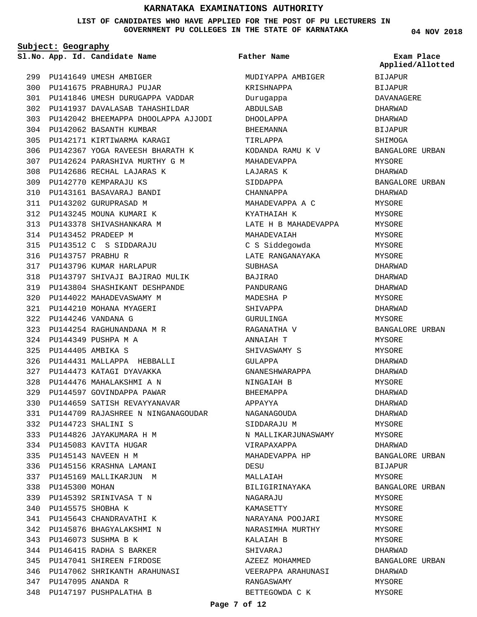#### **LIST OF CANDIDATES WHO HAVE APPLIED FOR THE POST OF PU LECTURERS IN GOVERNMENT PU COLLEGES IN THE STATE OF KARNATAKA**

**Subject: Geography**

**App. Id. Candidate Name Sl.No. Exam Place**

BIJAPUR BIJAPUR DAVANAGERE DHARWAD DHARWAD BIJAPUR SHIMOGA

MYSORE DHARWAD

DHARWAD MYSORE MYSORE MYSORE MYSORE MYSORE MYSORE DHARWAD DHARWAD DHARWAD MYSORE DHARWAD MYSORE

BANGALORE URBAN

**Applied/Allotted**

BANGALORE URBAN

BANGALORE URBAN

BANGALORE URBAN

BANGALORE URBAN

BANGALORE URBAN

BIJAPUR MYSORE

MYSORE MYSORE MYSORE MYSORE MYSORE DHARWAD

DHARWAD MYSORE MYSORE

MYSORE MYSORE DHARWAD DHARWAD MYSORE DHARWAD DHARWAD DHARWAD MYSORE MYSORE DHARWAD

|     |                       | 1. No. App. Id. Candidate Name                    | Father Name          |
|-----|-----------------------|---------------------------------------------------|----------------------|
|     |                       | 299 PU141649 UMESH AMBIGER                        | MUDIYAPPA AMBIGER    |
|     |                       | 300 PU141675 PRABHURAJ PUJAR                      | KRISHNAPPA           |
|     |                       | 301 PU141846 UMESH DURUGAPPA VADDAR               | Duruqappa            |
|     |                       | 302 PU141937 DAVALASAB TAHASHILDAR                | ABDULSAB             |
|     |                       | 303 PU142042 BHEEMAPPA DHOOLAPPA AJJODI DHOOLAPPA |                      |
| 304 |                       | PU142062 BASANTH KUMBAR                           | BHEEMANNA            |
| 305 |                       | PU142171 KIRTIWARMA KARAGI                        | TIRLAPPA             |
| 306 |                       | PU142367 YOGA RAVEESH BHARATH K                   | KODANDA RAMU K V     |
|     |                       | 307 PU142624 PARASHIVA MURTHY G M                 | MAHADEVAPPA          |
| 308 |                       | PU142686 RECHAL LAJARAS K                         | LAJARAS K            |
|     |                       | 309 PU142770 KEMPARAJU KS                         | SIDDAPPA             |
|     |                       | 310 PU143161 BASAVARAJ BANDI                      | CHANNAPPA            |
|     |                       | 311 PU143202 GURUPRASAD M                         | MAHADEVAPPA A C      |
|     |                       | 312 PU143245 MOUNA KUMARI K                       | KYATHAIAH K          |
| 313 |                       | PU143378 SHIVASHANKARA M                          | LATE H B MAHADEVAPPA |
| 314 |                       | PU143452 PRADEEP M                                | MAHADEVAIAH          |
|     |                       | 315 PU143512 C S SIDDARAJU                        | C S Siddegowda       |
|     | 316 PU143757 PRABHU R |                                                   | LATE RANGANAYAKA     |
|     |                       | 317 PU143796 KUMAR HARLAPUR                       | SUBHASA              |
|     |                       | 318 PU143797 SHIVAJI BAJIRAO MULIK                | <b>BAJIRAO</b>       |
|     |                       | 319 PU143804 SHASHIKANT DESHPANDE                 | PANDURANG            |
| 320 |                       | PU144022 MAHADEVASWAMY M                          | MADESHA P            |
| 321 |                       | PU144210 MOHANA MYAGERI                           | SHIVAPPA             |
| 322 |                       | PU144246 VANDANA G                                | GURULINGA            |
|     |                       | 323 PU144254 RAGHUNANDANA M R                     | RAGANATHA V          |
| 324 |                       | PU144349 PUSHPA M A                               | ANNAIAH T            |
| 325 | PU144405 AMBIKA S     |                                                   | SHIVASWAMY S         |
| 326 |                       | PU144431 MALLAPPA HEBBALLI                        | GULAPPA              |
|     |                       | 327 PU144473 KATAGI DYAVAKKA                      | GNANESHWARAPPA       |
|     |                       | 328 PU144476 MAHALAKSHMI A N                      | NINGAIAH B           |
| 329 |                       | PU144597 GOVINDAPPA PAWAR                         | <b>BHEEMAPPA</b>     |
|     |                       | 330 PU144659 SATISH REVAYYANAVAR                  | APPAYYA              |
|     |                       | 331 PU144709 RAJASHREE N NINGANAGOUDAR            | NAGANAGOUDA          |
| 332 |                       | PU144723 SHALINI S                                | SIDDARAJU M          |
| 333 |                       | PU144826 JAYAKUMARA H M                           | N MALLIKARJUNASWAMY  |
| 334 |                       | PU145083 KAVITA HUGAR                             | VIRAPAXAPPA          |
|     |                       | 335 PU145143 NAVEEN H M                           | MAHADEVAPPA HP       |
|     |                       | 336 PU145156 KRASHNA LAMANI                       | DESU                 |
|     |                       | 337 PU145169 MALLIKARJUN M                        | MALLAIAH             |
|     | 338 PU145300 MOHAN    |                                                   | BILIGIRINAYAKA       |
|     |                       | 339 PU145392 SRINIVASA T N                        | NAGARAJU             |
| 340 | PU145575 SHOBHA K     |                                                   | KAMASETTY            |
| 341 |                       | PU145643 CHANDRAVATHI K                           | NARAYANA POOJARI     |
| 342 |                       | PU145876 BHAGYALAKSHMI N                          | NARASIMHA MURTHY     |
| 343 |                       | PU146073 SUSHMA B K                               | KALAIAH B            |
| 344 |                       | PU146415 RADHA S BARKER                           | SHIVARAJ             |
| 345 |                       | PU147041 SHIREEN FIRDOSE                          | AZEEZ MOHAMMED       |
| 346 |                       | PU147062 SHRIKANTH ARAHUNASI                      | VEERAPPA ARAHUNASI   |
| 347 | PU147095 ANANDA R     |                                                   | RANGASWAMY           |
| 348 |                       | PU147197 PUSHPALATHA B                            | BETTEGOWDA C K       |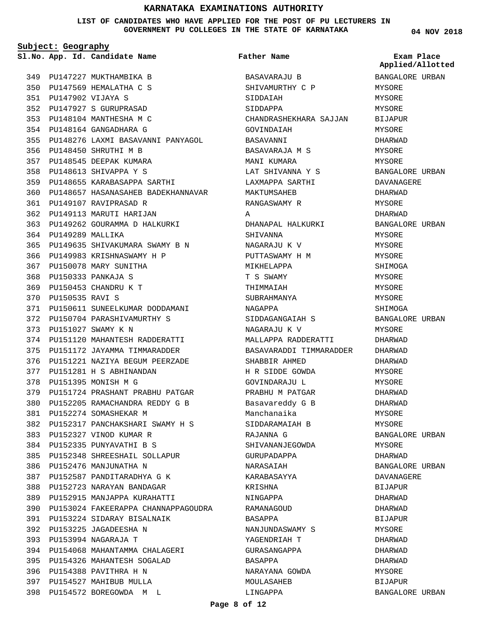**LIST OF CANDIDATES WHO HAVE APPLIED FOR THE POST OF PU LECTURERS IN GOVERNMENT PU COLLEGES IN THE STATE OF KARNATAKA**

**Subject: Geography**

349 PU147227 MUKTHAMBIKA B PU147569 HEMALATHA C S 350 PU147902 VIJAYA S 351 PU147927 S GURUPRASAD 352 PU148104 MANTHESHA M C 353 PU148164 GANGADHARA G 354 PU148276 LAXMI BASAVANNI PANYAGOL 355 PU148450 SHRUTHI M B 356 PU148545 DEEPAK KUMARA 357 PU148613 SHIVAPPA Y S 358 PU148655 KARABASAPPA SARTHI 359 PU148657 HASANASAHEB BADEKHANNAVAR 360 PU149107 RAVIPRASAD R 361 362 PU149113 MARUTI HARIJAN PU149262 GOURAMMA D HALKURKI 363 364 PU149289 MALLIKA PU149635 SHIVAKUMARA SWAMY B N 365 366 PU149983 KRISHNASWAMY H P 367 PU150078 MARY SUNITHA PU150333 PANKAJA S 368 PU150453 CHANDRU K T 369 PU150535 RAVI S 370 371 PU150611 SUNEELKUMAR DODDAMANI PU150704 PARASHIVAMURTHY S 372 PU151027 SWAMY K N 373 PU151120 MAHANTESH RADDERATTI 374 PU151172 JAYAMMA TIMMARADDER 375 PU151221 NAZIYA BEGUM PEERZADE 376 PU151281 H S ABHINANDAN 377 378 PU151395 MONISH M G 379 PU151724 PRASHANT PRABHU PATGAR PU152205 RAMACHANDRA REDDY G B 380 PU152274 SOMASHEKAR M 381 PU152317 PANCHAKSHARI SWAMY H S 382 PU152327 VINOD KUMAR R 383 PU152335 PUNYAVATHI B S 384 PU152348 SHREESHAIL SOLLAPUR 385 386 PU152476 MANJUNATHA N 387 PU152587 PANDITARADHYA G K PU152723 NARAYAN BANDAGAR 388 PU152915 MANJAPPA KURAHATTI PU153024 FAKEERAPPA CHANNAPPAGOUDRA 390 PU153224 SIDARAY BISALNAIK 391 PU153225 JAGADEESHA N 392 PU153994 NAGARAJA T 393 394 PU154068 MAHANTAMMA CHALAGERI PU154326 MAHANTESH SOGALAD 395 396 PU154388 PAVITHRA H N PU154527 MAHIBUB MULLA 397 **App. Id. Candidate Name Sl.No. Exam Place** 389

PU154572 BOREGOWDA M L 398

BASAVARAJU B SHIVAMURTHY C P SIDDAIAH SIDDAPPA CHANDRASHEKHARA SAJJAN GOVINDAIAH BASAVANNI BASAVARAJA M S MANI KUMARA LAT SHIVANNA Y S LAXMAPPA SARTHI MAKTUMSAHEB RANGASWAMY R A DHANAPAL HALKURKI SHIVANNA NAGARAJU K V PUTTASWAMY H M MIKHELAPPA T S SWAMY THIMMAIAH SUBRAHMANYA NAGAPPA SIDDAGANGAIAH S NAGARAJU K V MALLAPPA RADDERATTI BASAVARADDI TIMMARADDER SHABBIR AHMED H R SIDDE GOWDA GOVINDARAJU L PRABHU M PATGAR Basavareddy G B Manchanaika SIDDARAMAIAH B RAJANNA G SHIVANANJEGOWDA GURUPADAPPA NARASAIAH KARABASAYYA KRISHNA NINGAPPA RAMANAGOUD BASAPPA NANJUNDASWAMY S YAGENDRIAH T GURASANGAPPA BASAPPA NARAYANA GOWDA MOULASAHEB **Father Name** BANGALORE URBAN MYSORE MYSORE MYSORE BIJAPUR MYSORE DHARWAD MYSORE **MYSORE** BANGALORE URBAN DAVANAGERE DHARWAD MYSORE DHARWAD BANGALORE URBAN MYSORE MYSORE **MYSORE** SHIMOGA MYSORE MYSORE MYSORE SHIMOGA BANGALORE URBAN MYSORE DHARWAD DHARWAD DHARWAD MYSORE MYSORE DHARWAD DHARWAD MYSORE MYSORE BANGALORE URBAN MYSORE DHARWAD BANGALORE URBAN DAVANAGERE BIJAPUR DHARWAD DHARWAD BIJAPUR MYSORE DHARWAD DHARWAD DHARWAD MYSORE BIJAPUR BANGALORE URBAN **Applied/Allotted**

LINGAPPA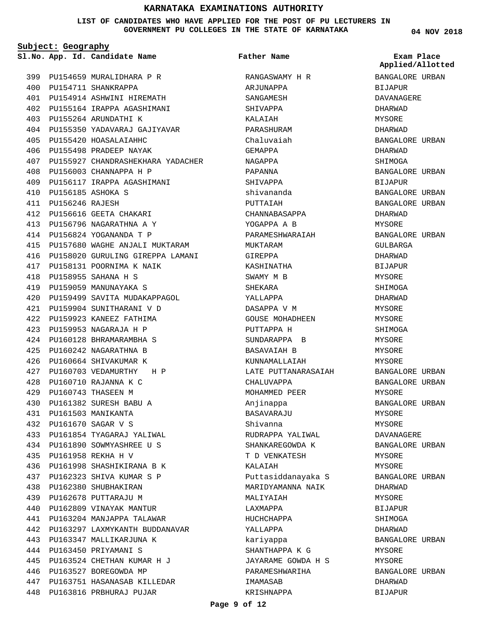**LIST OF CANDIDATES WHO HAVE APPLIED FOR THE POST OF PU LECTURERS IN GOVERNMENT PU COLLEGES IN THE STATE OF KARNATAKA**

**Subject: Geography**

**App. Id. Candidate Name Sl.No. Exam Place**

PU154711 SHANKRAPPA 400

PU155264 ARUNDATHI K 403

405 PU155420 HOASALAIAHHC PU155498 PRADEEP NAYAK 406

PU156003 CHANNAPPA H P 408 PU156117 IRAPPA AGASHIMANI 409

PU156616 GEETA CHAKARI 412 PU156796 NAGARATHNA A Y 413 PU156824 YOGANANDA T P 414

PU158131 POORNIMA K NAIK 417

PU158955 SAHANA H S 418 419 PU159059 MANUNAYAKA S

PU160710 RAJANNA K C 428 PU160743 THASEEN M 429 PU161382 SURESH BABU A 430 PU161503 MANIKANTA 431 PU161670 SAGAR V S 432

PU161958 REKHA H V 435

PU161854 TYAGARAJ YALIWAL 433 PU161890 SOWMYASHREE U S 434

PU161998 SHASHIKIRANA B K 436 PU162323 SHIVA KUMAR S P 437 PU162380 SHUBHAKIRAN 438 PU162678 PUTTARAJU M 439 PU162809 VINAYAK MANTUR 440 PU163204 MANJAPPA TALAWAR 441

PU163297 LAXMYKANTH BUDDANAVAR 442

PU163347 MALLIKARJUNA K 443 PU163450 PRIYAMANI S 444

446 PU163527 BOREGOWDA MP

PU163524 CHETHAN KUMAR H J 445

PU163751 HASANASAB KILLEDAR 447 PU163816 PRBHURAJ PUJAR 448

PU157680 WAGHE ANJALI MUKTARAM 415

PU159499 SAVITA MUDAKAPPAGOL 420 PU159904 SUNITHARANI V D 421 PU159923 KANEEZ FATHIMA 422 PU159953 NAGARAJA H P 423 PU160128 BHRAMARAMBHA S 424 PU160242 NAGARATHNA B 425 426 PU160664 SHIVAKUMAR K PU160703 VEDAMURTHY H P 427

PU156185 ASHOKA S 410 PU156246 RAJESH 411

399 PU154659 MURALIDHARA P R

PU154914 ASHWINI HIREMATH 401 PU155164 IRAPPA AGASHIMANI 402

PU155350 YADAVARAJ GAJIYAVAR 404

**Father Name**

PU155927 CHANDRASHEKHARA YADACHER 407 416 PU158020 GURULING GIREPPA LAMANI RANGASWAMY H R ARJUNAPPA SANGAMESH SHIVAPPA KALAIAH PARASHURAM Chaluvaiah GEMAPPA NAGAPPA PAPANNA SHIVAPPA shivananda PUTTAIAH CHANNABASAPPA YOGAPPA A B PARAMESHWARAIAH MUKTARAM GIREPPA KASHINATHA SWAMY M B SHEKARA YALLAPPA DASAPPA V M GOUSE MOHADHEEN PUTTAPPA H SUNDARAPPA B BASAVAIAH B KUNNAMALLAIAH LATE PUTTANARASAIAH CHALUVAPPA MOHAMMED PEER Anjinappa **BASAVARAJU** Shivanna RUDRAPPA YALIWAL SHANKAREGOWDA K T D VENKATESH KALAIAH Puttasiddanayaka S MARIDYAMANNA NAIK MALIYAIAH LAXMAPPA HUCHCHAPPA YALLAPPA kariyappa SHANTHAPPA K G JAYARAME GOWDA H S PARAMESHWARIHA IMAMASAB KRISHNAPPA

| Exam Place<br>Applied/Allotted |       |
|--------------------------------|-------|
| BANGALORE URBAN                |       |
| BIJAPUR                        |       |
| DAVANAGERE                     |       |
| DHARWAD                        |       |
| MYSORE                         |       |
| DHARWAD                        |       |
| BANGALORE URBAN                |       |
| DHARWAD                        |       |
| SHIMOGA                        |       |
| BANGALORE URBAN                |       |
| BIJAPUR                        |       |
| BANGALORE URBAN                |       |
| BANGALORE URBAN                |       |
| DHARWAD                        |       |
| MYSORE                         |       |
| BANGALORE URBAN                |       |
| GULBARGA                       |       |
| DHARWAD                        |       |
| BIJAPUR                        |       |
| MYSORE                         |       |
| SHIMOGA                        |       |
| DHARWAD                        |       |
| MYSORE                         |       |
| MYSORE                         |       |
| SHIMOGA                        |       |
| MYSORE                         |       |
| MYSORE                         |       |
| MYSORE                         |       |
| BANGALORE URBAN                |       |
| BANGALORE                      | URBAN |
| MYSORE                         |       |
| <b>BANGALORE URBAN</b>         |       |
| MYSORE                         |       |
| MYSORE                         |       |
| DAVANAGERE                     |       |
| BANGALORE URBAN                |       |
| MYSORE                         |       |
| MYSORE                         |       |
| <b>BANGALORE URBAN</b>         |       |
| DHARWAD                        |       |
| MYSORE                         |       |
| BIJAPUR                        |       |
| SHIMOGA                        |       |
| DHARWAD                        |       |
| BANGALORE URBAN                |       |
| MYSORE                         |       |
| MYSORE                         |       |
| BANGALORE URBAN                |       |
| DHARWAD                        |       |
| <b>BIJAPUR</b>                 |       |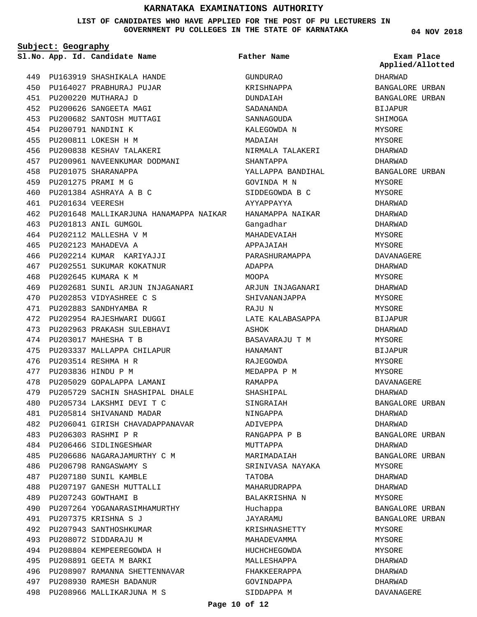### **LIST OF CANDIDATES WHO HAVE APPLIED FOR THE POST OF PU LECTURERS IN GOVERNMENT PU COLLEGES IN THE STATE OF KARNATAKA**

**Subject: Geography**

**Father Name**

|     |                  | Sl.No. App. Id. Candidate Name                              | Father Name       | Exam Place<br>Applied/Allotted |
|-----|------------------|-------------------------------------------------------------|-------------------|--------------------------------|
|     |                  | 449 PU163919 SHASHIKALA HANDE                               | <b>GUNDURAO</b>   | DHARWAD                        |
|     |                  | 450 PU164027 PRABHURAJ PUJAR                                | KRISHNAPPA        | BANGALORE URBAN                |
|     |                  | 451 PU200220 MUTHARAJ D                                     | DUNDAIAH          | BANGALORE URBAN                |
|     |                  | 452 PU200626 SANGEETA MAGI                                  | SADANANDA         | BIJAPUR                        |
| 453 |                  | PU200682 SANTOSH MUTTAGI                                    | SANNAGOUDA        | SHIMOGA                        |
| 454 |                  | PU200791 NANDINI K                                          | KALEGOWDA N       | MYSORE                         |
| 455 |                  | PU200811 LOKESH H M                                         | MADAIAH           | MYSORE                         |
| 456 |                  | PU200838 KESHAV TALAKERI                                    | NIRMALA TALAKERI  | DHARWAD                        |
| 457 |                  | PU200961 NAVEENKUMAR DODMANI                                | SHANTAPPA         | DHARWAD                        |
| 458 |                  | PU201075 SHARANAPPA                                         | YALLAPPA BANDIHAL | BANGALORE URBAN                |
|     |                  | 459 PU201275 PRAMI M G                                      | GOVINDA M N       | MYSORE                         |
| 460 |                  | PU201384 ASHRAYA A B C                                      | SIDDEGOWDA B C    | MYSORE                         |
| 461 | PU201634 VEERESH |                                                             | AYYAPPAYYA        | DHARWAD                        |
| 462 |                  | PU201648 MALLIKARJUNA HANAMAPPA NAIKAR     HANAMAPPA NAIKAR |                   | DHARWAD                        |
| 463 |                  | PU201813 ANIL GUMGOL                                        | Gangadhar         | DHARWAD                        |
|     |                  | 464 PU202112 MALLESHA V M                                   | MAHADEVAIAH       | MYSORE                         |
| 465 |                  | PU202123 MAHADEVA A                                         | APPAJAIAH         | MYSORE                         |
| 466 |                  | PU202214 KUMAR KARIYAJJI                                    | PARASHURAMAPPA    | DAVANAGERE                     |
| 467 |                  | PU202551 SUKUMAR KOKATNUR                                   | ADAPPA            | DHARWAD                        |
|     |                  | 468 PU202645 KUMARA K M                                     | MOOPA             | MYSORE                         |
|     |                  | 469 PU202681 SUNIL ARJUN INJAGANARI ARJUN INJAGANARI        |                   | DHARWAD                        |
| 470 |                  | PU202853 VIDYASHREE C S                                     | SHIVANANJAPPA     | MYSORE                         |
| 471 |                  | PU202883 SANDHYAMBA R                                       | RAJU N            | MYSORE                         |
| 472 |                  | PU202954 RAJESHWARI DUGGI                                   | LATE KALABASAPPA  | BIJAPUR                        |
| 473 |                  | PU202963 PRAKASH SULEBHAVI                                  | ASHOK             | DHARWAD                        |
|     |                  | 474 PU203017 MAHESHA T B                                    | BASAVARAJU T M    | MYSORE                         |
| 475 |                  | PU203337 MALLAPPA CHILAPUR                                  | HANAMANT          | BIJAPUR                        |
| 476 |                  | PU203514 RESHMA H R                                         | RAJEGOWDA         | MYSORE                         |
| 477 |                  | PU203836 HINDU P M                                          | MEDAPPA P M       | MYSORE                         |
| 478 |                  | PU205029 GOPALAPPA LAMANI                                   | RAMAPPA           | DAVANAGERE                     |
| 479 |                  | PU205729 SACHIN SHASHIPAL DHALE                             | SHASHIPAL         | DHARWAD                        |
|     |                  | 480 PU205734 LAKSHMI DEVI T C                               | SINGRAIAH         | BANGALORE URBAN                |
| 481 |                  | PU205814 SHIVANAND MADAR                                    | NINGAPPA          | DHARWAD                        |
|     |                  | 482 PU206041 GIRISH CHAVADAPPANAVAR                         | ADIVEPPA          | DHARWAD                        |
| 483 |                  | PU206303 RASHMI P R                                         | RANGAPPA P B      | BANGALORE URBAN                |
|     |                  | 484 PU206466 SIDLINGESHWAR                                  | MUTTAPPA          | DHARWAD                        |
| 485 |                  | PU206686 NAGARAJAMURTHY C M                                 | MARIMADAIAH       | BANGALORE URBAN                |
| 486 |                  | PU206798 RANGASWAMY S                                       | SRINIVASA NAYAKA  | MYSORE                         |
| 487 |                  | PU207180 SUNIL KAMBLE                                       | TATOBA            | DHARWAD                        |
|     |                  | 488 PU207197 GANESH MUTTALLI                                | MAHARUDRAPPA      | DHARWAD                        |
|     |                  | 489 PU207243 GOWTHAMI B                                     | BALAKRISHNA N     | MYSORE                         |
| 490 |                  | PU207264 YOGANARASIMHAMURTHY                                | Huchappa          | BANGALORE URBAN                |
| 491 |                  | PU207375 KRISHNA S J                                        | JAYARAMU          | BANGALORE URBAN                |
| 492 |                  | PU207943 SANTHOSHKUMAR                                      | KRISHNASHETTY     | MYSORE                         |
| 493 |                  | PU208072 SIDDARAJU M                                        | MAHADEVAMMA       | MYSORE                         |
| 494 |                  | PU208804 KEMPEEREGOWDA H                                    | HUCHCHEGOWDA      | MYSORE                         |
| 495 |                  | PU208891 GEETA M BARKI                                      | MALLESHAPPA       | DHARWAD                        |
|     |                  | 496 PU208907 RAMANNA SHETTENNAVAR                           | FHAKKEERAPPA      | DHARWAD                        |
| 497 |                  | PU208930 RAMESH BADANUR                                     | GOVINDAPPA        | DHARWAD                        |
| 498 |                  | PU208966 MALLIKARJUNA M S                                   | SIDDAPPA M        | DAVANAGERE                     |
|     |                  |                                                             |                   |                                |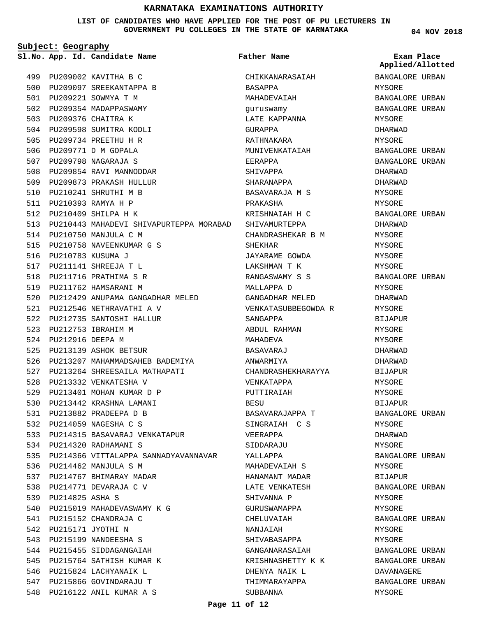**LIST OF CANDIDATES WHO HAVE APPLIED FOR THE POST OF PU LECTURERS IN GOVERNMENT PU COLLEGES IN THE STATE OF KARNATAKA**

**Subject: Geography**

**App. Id. Candidate Name Sl.No. Exam Place Father Name**

**Applied/Allotted**

**04 NOV 2018**

|     |                     | 499 PU209002 KAVITHA B C                                      |
|-----|---------------------|---------------------------------------------------------------|
| 500 |                     | PU209097 SREEKANTAPPA B                                       |
| 501 |                     | PU209221 SOWMYA T M                                           |
|     |                     | 502 PU209354 MADAPPASWAMY                                     |
|     |                     | 503 PU209376 CHAITRA K                                        |
| 504 |                     | PU209598 SUMITRA KODLI                                        |
|     |                     | 505 PU209734 PREETHU H R                                      |
|     |                     | 506 PU209771 D M GOPALA                                       |
|     |                     | 507 PU209798 NAGARAJA S                                       |
| 508 |                     | PU209854 RAVI MANNODDAR                                       |
| 509 |                     | PU209873 PRAKASH HULLUR                                       |
|     |                     | 510 PU210241 SHRUTHI M B                                      |
|     |                     | 511 PU210393 RAMYA H P                                        |
|     |                     | 512 PU210409 SHILPA H K                                       |
|     |                     | 513 PU210443 MAHADEVI SHIVAPURTEPPA MORABAD                   |
|     |                     | 514 PU210750 MANJULA C M                                      |
|     |                     | 515 PU210758 NAVEENKUMAR G S                                  |
| 516 | PU210783 KUSUMA J   |                                                               |
| 517 |                     | PU211141 SHREEJA T L                                          |
|     |                     | 518 PU211716 PRATHIMA S R                                     |
|     |                     | 519 PU211762 HAMSARANI M                                      |
|     |                     | 520 PU212429 ANUPAMA GANGADHAR MELED                          |
|     |                     | 521 PU212546 NETHRAVATHI A V                                  |
|     |                     | 522 PU212735 SANTOSHI HALLUR                                  |
|     |                     | 523 PU212753 IBRAHIM M                                        |
| 524 | PU212916 DEEPA M    |                                                               |
| 525 |                     | PU213139 ASHOK BETSUR                                         |
|     |                     | 526 PU213207 MAHAMMADSAHEB BADEMIYA                           |
|     |                     | 527 PU213264 SHREESAILA MATHAPATI                             |
| 528 |                     | PU213332 VENKATESHA V                                         |
|     |                     | 529 PU213401 MOHAN KUMAR D P                                  |
|     |                     | 530 PU213442 KRASHNA LAMANI                                   |
|     |                     | 531 PU213882 PRADEEPA D B                                     |
|     |                     |                                                               |
|     |                     | 532 PU214059 NAGESHA C S                                      |
|     |                     | 533 PU214315 BASAVARAJ VENKATAPUR<br>534 PU214320 RADHAMANI S |
|     |                     | 535 PU214366 VITTALAPPA SANNADYAVANNAVAR                      |
|     |                     |                                                               |
| 536 |                     | PU214462 MANJULA S M                                          |
|     |                     | 537 PU214767 BHIMARAY MADAR                                   |
|     |                     | 538 PU214771 DEVARAJA C V                                     |
|     | 539 PU214825 ASHA S |                                                               |
|     |                     | 540 PU215019 MAHADEVASWAMY K G                                |
|     |                     | 541 PU215152 CHANDRAJA C                                      |
|     |                     | 542 PU215171 JYOTHI N                                         |
|     |                     | 543 PU215199 NANDEESHA S                                      |
| 544 |                     | PU215455 SIDDAGANGAIAH                                        |
|     |                     | 545 PU215764 SATHISH KUMAR K                                  |
|     |                     | 546 PU215824 LACHYANAIK L                                     |
|     |                     | 547 PU215866 GOVINDARAJU T                                    |
|     |                     | 548 PU216122 ANIL KUMAR A S                                   |

CHIKKANARASAIAH BASAPPA MAHADEVAIAH guruswamy LATE KAPPANNA GURAPPA RATHNAKARA MUNIVENKATAIAH EERAPPA SHIVAPPA SHARANAPPA BASAVARAJA M S PRAKASHA KRISHNAIAH H C SHIVAMURTEPPA CHANDRASHEKAR B M SHEKHAR JAYARAME GOWDA LAKSHMAN T K RANGASWAMY S S MALLAPPA D GANGADHAR MELED VENKATASUBBEGOWDA R SANGAPPA ABDUL RAHMAN MAHADEVA BASAVARAJ ANWARMIYA CHANDRASHEKHARAYYA VENKATAPPA PUTTIRAIAH BESU BASAVARAJAPPA T SINGRAIAH C S VEERAPPA SIDDARAJU YALLAPPA MAHADEVAIAH S HANAMANT MADAR LATE VENKATESH SHIVANNA P GURUSWAMAPPA CHELUVAIAH NANJAIAH SHIVABASAPPA GANGANARASAIAH KRISHNASHETTY K K DHENYA NAIK L THIMMARAYAPPA SUBBANNA

BANGALORE URBAN MYSORE BANGALORE URBAN BANGALORE URBAN MYSORE DHARWAD MYSORE BANGALORE URBAN BANGALORE URBAN DHARWAD DHARWAD MYSORE MYSORE BANGALORE URBAN DHARWAD MYSORE MYSORE MYSORE MYSORE BANGALORE URBAN MYSORE DHARWAD MYSORE BIJAPUR MYSORE MYSORE DHARWAD DHARWAD BIJAPUR MYSORE MYSORE BIJAPUR BANGALORE URBAN MYSORE DHARWAD MYSORE BANGALORE URBAN MYSORE BIJAPUR BANGALORE URBAN MYSORE MYSORE BANGALORE URBAN MYSORE MYSORE BANGALORE URBAN BANGALORE URBAN DAVANAGERE BANGALORE URBAN MYSORE